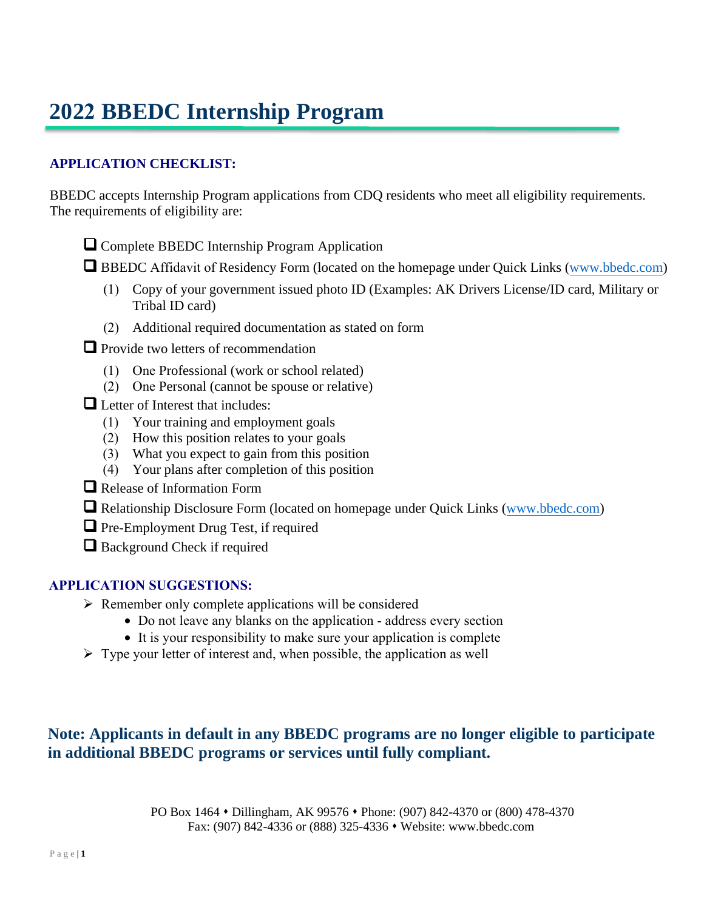# **2022 BBEDC Internship Program**

### **APPLICATION CHECKLIST:**

BBEDC accepts Internship Program applications from CDQ residents who meet all eligibility requirements. The requirements of eligibility are:

- ❑ Complete BBEDC Internship Program Application
- □ BBEDC Affidavit of Residency Form (located on the homepage under Quick Links (www.bbedc.com)
	- (1) Copy of your government issued photo ID (Examples: AK Drivers License/ID card, Military or Tribal ID card)
	- (2) Additional required documentation as stated on form
- ❑ Provide two letters of recommendation
	- (1) One Professional (work or school related)
	- (2) One Personal (cannot be spouse or relative)
- ❑ Letter of Interest that includes:
	- (1) Your training and employment goals
	- (2) How this position relates to your goals
	- (3) What you expect to gain from this position
	- (4) Your plans after completion of this position
- ❑ Release of Information Form
- ❑ Relationship Disclosure Form (located on homepage under Quick Links (www.bbedc.com)
- ❑ Pre-Employment Drug Test, if required
- ❑ Background Check if required

### **APPLICATION SUGGESTIONS:**

- $\triangleright$  Remember only complete applications will be considered
	- Do not leave any blanks on the application address every section
	- It is your responsibility to make sure your application is complete
- $\triangleright$  Type your letter of interest and, when possible, the application as well

# **Note: Applicants in default in any BBEDC programs are no longer eligible to participate in additional BBEDC programs or services until fully compliant.**

PO Box 1464 • Dillingham, AK 99576 • Phone: (907) 842-4370 or (800) 478-4370 Fax: (907) 842-4336 or (888) 325-4336 • Website: www.bbedc.com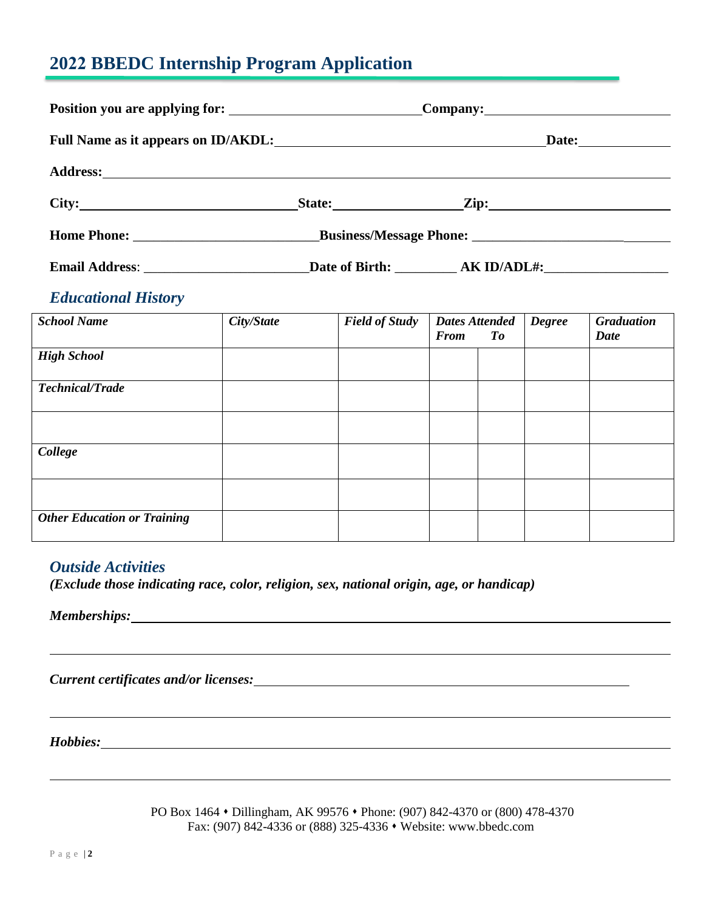# **2022 BBEDC Internship Program Application**

| Full Name as it appears on ID/AKDL:<br><u>Date:</u> <u>Date:</u> |  |  |  |
|------------------------------------------------------------------|--|--|--|
|                                                                  |  |  |  |
| City:                                                            |  |  |  |
|                                                                  |  |  |  |
| Email Address: Date of Birth: AK ID/ADL#:                        |  |  |  |

### *Educational History*

| <b>School Name</b>                 | City/State | <b>Field of Study</b> | <b>Dates Attended</b><br><b>From</b> | To | <b>Degree</b> | <b>Graduation</b><br><b>Date</b> |
|------------------------------------|------------|-----------------------|--------------------------------------|----|---------------|----------------------------------|
| <b>High School</b>                 |            |                       |                                      |    |               |                                  |
| <b>Technical/Trade</b>             |            |                       |                                      |    |               |                                  |
|                                    |            |                       |                                      |    |               |                                  |
| College                            |            |                       |                                      |    |               |                                  |
|                                    |            |                       |                                      |    |               |                                  |
| <b>Other Education or Training</b> |            |                       |                                      |    |               |                                  |

### *Outside Activities*

*(Exclude those indicating race, color, religion, sex, national origin, age, or handicap)*

*Memberships:*

*Current certificates and/or licenses:*

*Hobbies:*

PO Box 1464 • Dillingham, AK 99576 • Phone: (907) 842-4370 or (800) 478-4370 Fax: (907) 842-4336 or (888) 325-4336 • Website: www.bbedc.com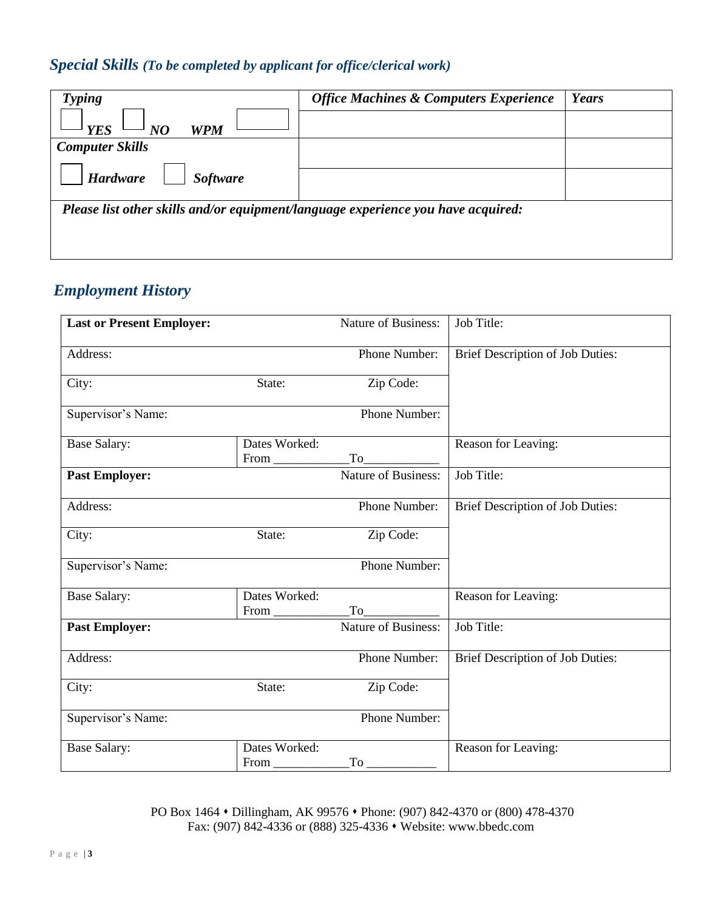# *Special Skills (To be completed by applicant for office/clerical work)*

| <b>Typing</b>                                                                    | <b>Office Machines &amp; Computers Experience</b> | Years |
|----------------------------------------------------------------------------------|---------------------------------------------------|-------|
| <b>WPM</b><br><b>YES</b><br>NO                                                   |                                                   |       |
| <b>Computer Skills</b>                                                           |                                                   |       |
| <b>Hardware</b><br><b>Software</b>                                               |                                                   |       |
| Please list other skills and/or equipment/language experience you have acquired: |                                                   |       |

# *Employment History*

| <b>Last or Present Employer:</b> |                              | Nature of Business:        | Job Title:                       |
|----------------------------------|------------------------------|----------------------------|----------------------------------|
| Address:                         |                              | Phone Number:              | Brief Description of Job Duties: |
| City:                            | State:                       | Zip Code:                  |                                  |
| Supervisor's Name:               |                              | Phone Number:              |                                  |
| <b>Base Salary:</b>              | Dates Worked:<br>$From \_\_$ |                            | Reason for Leaving:              |
| <b>Past Employer:</b>            |                              | <b>Nature of Business:</b> | Job Title:                       |
| Address:                         |                              | Phone Number:              | Brief Description of Job Duties: |
| City:                            | State:                       | Zip Code:                  |                                  |
| Supervisor's Name:               |                              | Phone Number:              |                                  |
| <b>Base Salary:</b>              | Dates Worked:<br>$From \_\_$ |                            | Reason for Leaving:              |
| <b>Past Employer:</b>            |                              | <b>Nature of Business:</b> | Job Title:                       |
| Address:                         |                              | Phone Number:              | Brief Description of Job Duties: |
| City:                            | State:                       | Zip Code:                  |                                  |
| Supervisor's Name:               |                              | Phone Number:              |                                  |
| <b>Base Salary:</b>              | Dates Worked:<br>$From \_\_$ |                            | Reason for Leaving:              |

PO Box 1464 • Dillingham, AK 99576 • Phone: (907) 842-4370 or (800) 478-4370 Fax: (907) 842-4336 or (888) 325-4336 ⬧ Website: www.bbedc.com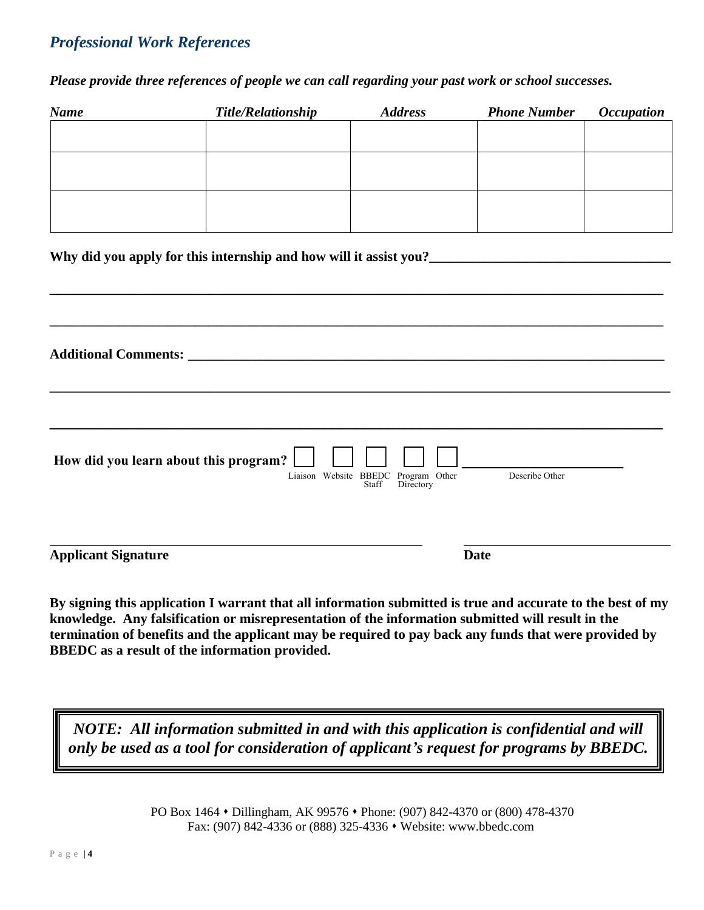# *Professional Work References*

*Please provide three references of people we can call regarding your past work or school successes.* 

| <b>Name</b>                                                                                                                                                                                                                        | <b>Title/Relationship</b> | <b>Address</b>                                            | <b>Phone Number</b> | <b>Occupation</b> |
|------------------------------------------------------------------------------------------------------------------------------------------------------------------------------------------------------------------------------------|---------------------------|-----------------------------------------------------------|---------------------|-------------------|
|                                                                                                                                                                                                                                    |                           |                                                           |                     |                   |
|                                                                                                                                                                                                                                    |                           |                                                           |                     |                   |
|                                                                                                                                                                                                                                    |                           |                                                           |                     |                   |
|                                                                                                                                                                                                                                    |                           |                                                           |                     |                   |
|                                                                                                                                                                                                                                    |                           |                                                           |                     |                   |
| Why did you apply for this internship and how will it assist you?<br>1920 - The Mann Marson and Marian Marson and How Will it assist you?<br>1921 - The Marson Marson and Marson and Marson and Marson and Marson and Marson and M |                           |                                                           |                     |                   |
|                                                                                                                                                                                                                                    |                           |                                                           |                     |                   |
|                                                                                                                                                                                                                                    |                           |                                                           |                     |                   |
|                                                                                                                                                                                                                                    |                           |                                                           |                     |                   |
|                                                                                                                                                                                                                                    |                           |                                                           |                     |                   |
|                                                                                                                                                                                                                                    |                           |                                                           |                     |                   |
|                                                                                                                                                                                                                                    |                           |                                                           |                     |                   |
|                                                                                                                                                                                                                                    |                           |                                                           |                     |                   |
|                                                                                                                                                                                                                                    |                           |                                                           |                     |                   |
| How did you learn about this program?                                                                                                                                                                                              |                           |                                                           |                     |                   |
|                                                                                                                                                                                                                                    |                           | Liaison Website BBEDC Program Other<br>Staff<br>Directory | Describe Other      |                   |
|                                                                                                                                                                                                                                    |                           |                                                           |                     |                   |
|                                                                                                                                                                                                                                    |                           |                                                           |                     |                   |
| <b>Applicant Signature</b>                                                                                                                                                                                                         |                           |                                                           | <b>Date</b>         |                   |

**By signing this application I warrant that all information submitted is true and accurate to the best of my knowledge. Any falsification or misrepresentation of the information submitted will result in the termination of benefits and the applicant may be required to pay back any funds that were provided by BBEDC as a result of the information provided.**

*NOTE: All information submitted in and with this application is confidential and will only be used as a tool for consideration of applicant's request for programs by BBEDC.*

> PO Box 1464 ⬧ Dillingham, AK 99576 ⬧ Phone: (907) 842-4370 or (800) 478-4370 Fax: (907) 842-4336 or (888) 325-4336 • Website: www.bbedc.com